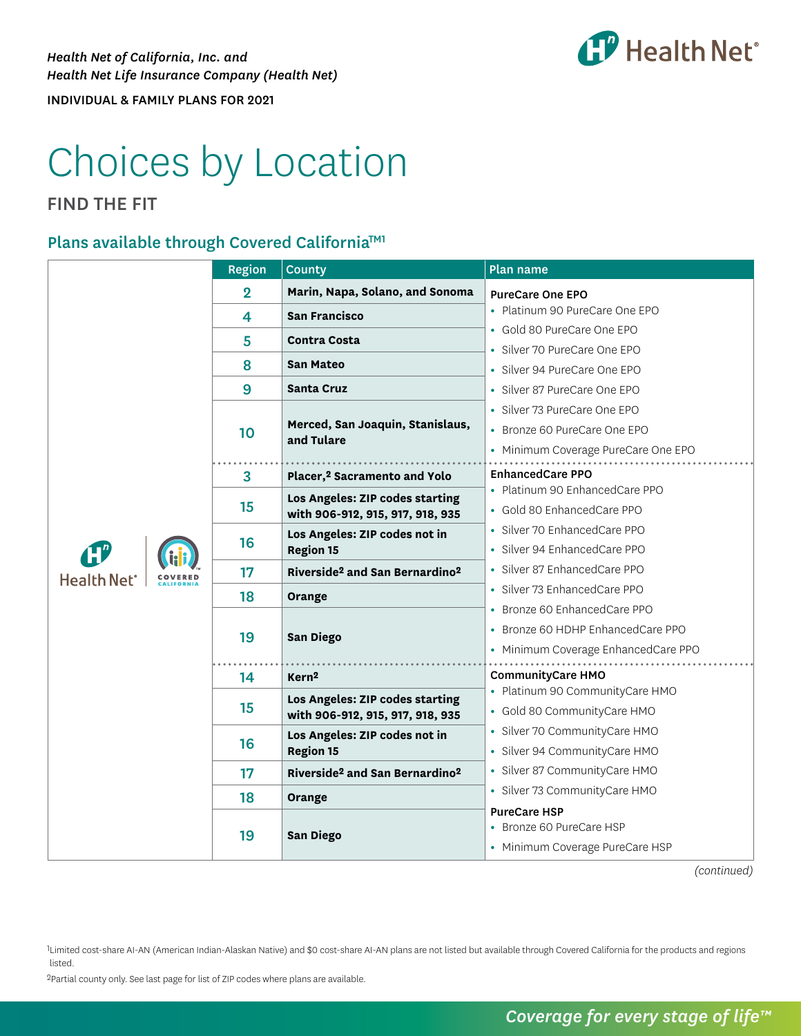

# Choices by Location

### FIND THE FIT

#### Plans available through Covered California™<sup>1</sup>

|                               | <b>Region</b>  | <b>County</b>                                          | Plan name                           |
|-------------------------------|----------------|--------------------------------------------------------|-------------------------------------|
|                               | $\overline{2}$ | Marin, Napa, Solano, and Sonoma                        | <b>PureCare One EPO</b>             |
|                               | 4              | <b>San Francisco</b>                                   | • Platinum 90 PureCare One EPO      |
|                               | 5              | <b>Contra Costa</b>                                    | • Gold 80 PureCare One EPO          |
|                               | 8              | <b>San Mateo</b>                                       | • Silver 70 PureCare One EPO        |
|                               |                |                                                        | • Silver 94 PureCare One EPO        |
|                               | 9              | <b>Santa Cruz</b>                                      | · Silver 87 PureCare One EPO        |
|                               | 10             | Merced, San Joaquin, Stanislaus,<br>and Tulare         | • Silver 73 PureCare One EPO        |
|                               |                |                                                        | • Bronze 60 PureCare One EPO        |
|                               |                |                                                        | • Minimum Coverage PureCare One EPO |
|                               | 3              | Placer, <sup>2</sup> Sacramento and Yolo               | <b>EnhancedCare PPO</b>             |
|                               | 15             | Los Angeles: ZIP codes starting                        | • Platinum 90 EnhancedCare PPO      |
|                               |                | with 906-912, 915, 917, 918, 935                       | • Gold 80 EnhancedCare PPO          |
|                               | 16             | Los Angeles: ZIP codes not in                          | • Silver 70 EnhancedCare PPO        |
|                               |                | <b>Region 15</b>                                       | · Silver 94 EnhancedCare PPO        |
| <b>Health Net<sup>®</sup></b> | 17             | Riverside <sup>2</sup> and San Bernardino <sup>2</sup> | · Silver 87 EnhancedCare PPO        |
|                               | 18             | Orange                                                 | • Silver 73 EnhancedCare PPO        |
|                               | 19             | <b>San Diego</b>                                       | • Bronze 60 EnhancedCare PPO        |
|                               |                |                                                        | • Bronze 60 HDHP EnhancedCare PPO   |
|                               |                |                                                        | • Minimum Coverage EnhancedCare PPO |
|                               | 14             | Kern <sup>2</sup>                                      | <b>CommunityCare HMO</b>            |
|                               | 15             | Los Angeles: ZIP codes starting                        | • Platinum 90 CommunityCare HMO     |
|                               |                | with 906-912, 915, 917, 918, 935                       | • Gold 80 CommunityCare HMO         |
|                               | 16             | Los Angeles: ZIP codes not in<br><b>Region 15</b>      | · Silver 70 CommunityCare HMO       |
|                               |                |                                                        | • Silver 94 CommunityCare HMO       |
|                               | 17             | Riverside <sup>2</sup> and San Bernardino <sup>2</sup> | · Silver 87 CommunityCare HMO       |
|                               | 18             | Orange                                                 | • Silver 73 CommunityCare HMO       |
|                               | 19             |                                                        | <b>PureCare HSP</b>                 |
|                               |                | San Diego                                              | • Bronze 60 PureCare HSP            |
|                               |                |                                                        | • Minimum Coverage PureCare HSP     |

*(continued)*

1Limited cost-share AI-AN (American Indian-Alaskan Native) and \$0 cost-share AI-AN plans are not listed but available through Covered California for the products and regions listed.

2Partial county only. See last page for list of ZIP codes where plans are available.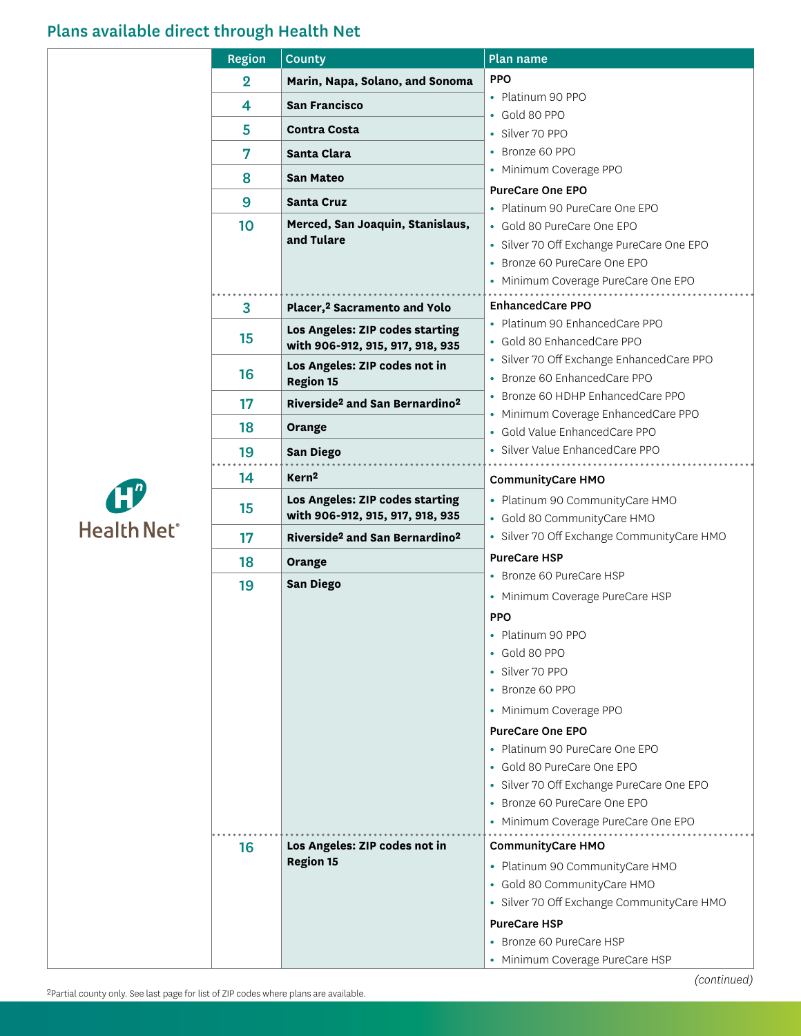## Plans available direct through Health Net

|             | Region         | <b>County</b>                                                       | Plan name                                                                 |
|-------------|----------------|---------------------------------------------------------------------|---------------------------------------------------------------------------|
|             | $\overline{2}$ | Marin, Napa, Solano, and Sonoma                                     | <b>PPO</b>                                                                |
|             | 4              | <b>San Francisco</b>                                                | • Platinum 90 PPO                                                         |
|             | 5              | <b>Contra Costa</b>                                                 | • Gold 80 PPO                                                             |
|             |                |                                                                     | • Silver 70 PPO                                                           |
|             | 7              | Santa Clara                                                         | • Bronze 60 PPO<br>• Minimum Coverage PPO                                 |
|             | 8              | <b>San Mateo</b>                                                    |                                                                           |
|             | 9              | <b>Santa Cruz</b>                                                   | <b>PureCare One EPO</b><br>• Platinum 90 PureCare One EPO                 |
|             | 10             | Merced, San Joaquin, Stanislaus,                                    | • Gold 80 PureCare One EPO                                                |
|             |                | and Tulare                                                          | · Silver 70 Off Exchange PureCare One EPO                                 |
|             |                |                                                                     | • Bronze 60 PureCare One EPO                                              |
|             |                |                                                                     | • Minimum Coverage PureCare One EPO                                       |
|             | $\overline{3}$ | Placer, <sup>2</sup> Sacramento and Yolo                            | <b>EnhancedCare PPO</b>                                                   |
|             |                | Los Angeles: ZIP codes starting                                     | • Platinum 90 EnhancedCare PPO                                            |
|             | 15             | with 906-912, 915, 917, 918, 935                                    | • Gold 80 EnhancedCare PPO                                                |
|             |                | Los Angeles: ZIP codes not in                                       | · Silver 70 Off Exchange EnhancedCare PPO                                 |
|             | 16             | <b>Region 15</b>                                                    | • Bronze 60 EnhancedCare PPO                                              |
|             | 17             | Riverside <sup>2</sup> and San Bernardino <sup>2</sup>              | • Bronze 60 HDHP EnhancedCare PPO                                         |
|             | 18             | Orange                                                              | • Minimum Coverage EnhancedCare PPO                                       |
|             | 19             | <b>San Diego</b>                                                    | • Gold Value EnhancedCare PPO<br>· Silver Value EnhancedCare PPO          |
|             |                | Kern <sup>2</sup>                                                   |                                                                           |
|             | 14             |                                                                     | <b>CommunityCare HMO</b>                                                  |
|             | 15             | Los Angeles: ZIP codes starting<br>with 906-912, 915, 917, 918, 935 | • Platinum 90 CommunityCare HMO                                           |
| Health Net® |                | Riverside <sup>2</sup> and San Bernardino <sup>2</sup>              | • Gold 80 CommunityCare HMO<br>• Silver 70 Off Exchange CommunityCare HMO |
|             | 17             |                                                                     | <b>PureCare HSP</b>                                                       |
|             | 18             | Orange                                                              | • Bronze 60 PureCare HSP                                                  |
|             | 19             | <b>San Diego</b>                                                    | • Minimum Coverage PureCare HSP                                           |
|             |                |                                                                     | <b>PPO</b>                                                                |
|             |                |                                                                     | Platinum 90 PPO<br>٠                                                      |
|             |                |                                                                     | • Gold 80 PPO                                                             |
|             |                |                                                                     | • Silver 70 PPO                                                           |
|             |                |                                                                     | • Bronze 60 PPO                                                           |
|             |                |                                                                     | • Minimum Coverage PPO                                                    |
|             |                |                                                                     | <b>PureCare One EPO</b>                                                   |
|             |                |                                                                     | • Platinum 90 PureCare One EPO                                            |
|             |                |                                                                     | • Gold 80 PureCare One EPO                                                |
|             |                |                                                                     | • Silver 70 Off Exchange PureCare One EPO                                 |
|             |                |                                                                     | • Bronze 60 PureCare One EPO                                              |
|             |                |                                                                     | • Minimum Coverage PureCare One EPO                                       |
|             | 16             | Los Angeles: ZIP codes not in                                       | <b>CommunityCare HMO</b>                                                  |
|             |                | <b>Region 15</b>                                                    | • Platinum 90 CommunityCare HMO                                           |
|             |                |                                                                     | • Gold 80 CommunityCare HMO                                               |
|             |                |                                                                     | · Silver 70 Off Exchange CommunityCare HMO                                |
|             |                |                                                                     | <b>PureCare HSP</b>                                                       |
|             |                |                                                                     | • Bronze 60 PureCare HSP                                                  |
|             |                |                                                                     | • Minimum Coverage PureCare HSP                                           |
|             |                |                                                                     |                                                                           |